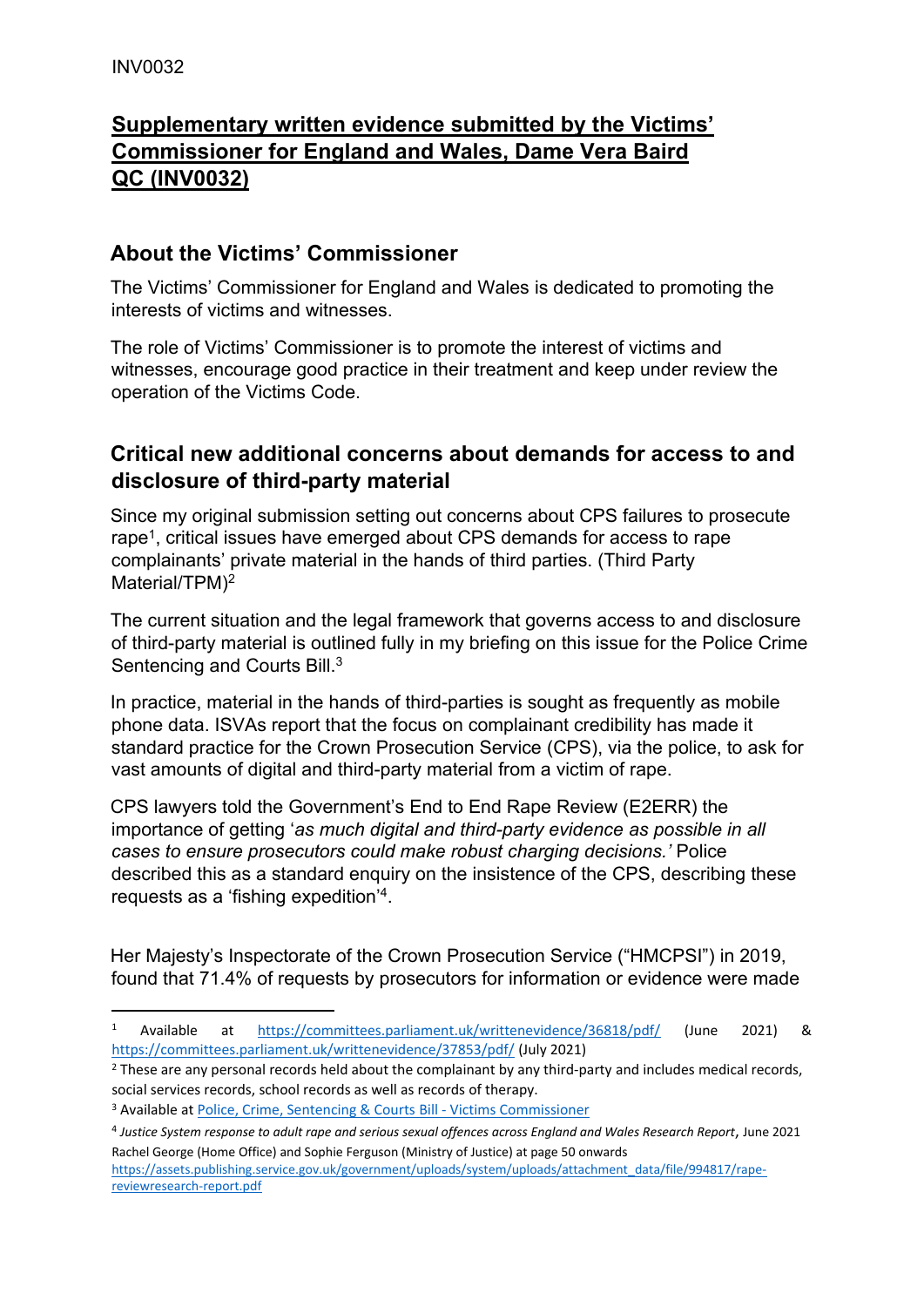## **Supplementary written evidence submitted by the Victims' Commissioner for England and Wales, Dame Vera Baird QC (INV0032)**

## **About the Victims' Commissioner**

The Victims' Commissioner for England and Wales is dedicated to promoting the interests of victims and witnesses.

The role of Victims' Commissioner is to promote the interest of victims and witnesses, encourage good practice in their treatment and keep under review the operation of the Victims Code.

## **Critical new additional concerns about demands for access to and disclosure of third-party material**

Since my original submission setting out concerns about CPS failures to prosecute rape<sup>1</sup>, critical issues have emerged about CPS demands for access to rape complainants' private material in the hands of third parties. (Third Party Material/TPM)<sup>2</sup>

The current situation and the legal framework that governs access to and disclosure of third-party material is outlined fully in my briefing on this issue for the Police Crime Sentencing and Courts Bill.<sup>3</sup>

In practice, material in the hands of third-parties is sought as frequently as mobile phone data. ISVAs report that the focus on complainant credibility has made it standard practice for the Crown Prosecution Service (CPS), via the police, to ask for vast amounts of digital and third-party material from a victim of rape.

CPS lawyers told the Government's End to End Rape Review (E2ERR) the importance of getting '*as much digital and third-party evidence as possible in all cases to ensure prosecutors could make robust charging decisions.'* Police described this as a standard enquiry on the insistence of the CPS, describing these requests as a 'fishing expedition'<sup>4</sup> .

Her Majesty's Inspectorate of the Crown Prosecution Service ("HMCPSI") in 2019, found that 71.4% of requests by prosecutors for information or evidence were made

<sup>2</sup> These are any personal records held about the complainant by any third-party and includes medical records, social services records, school records as well as records of therapy.

<sup>1</sup> Available at <https://committees.parliament.uk/writtenevidence/36818/pdf/> (June 2021) & <https://committees.parliament.uk/writtenevidence/37853/pdf/> (July 2021)

<sup>3</sup> Available at [Police,](https://victimscommissioner.org.uk/policy/police-crime-sentencing-courts-bill/) [Crime,](https://victimscommissioner.org.uk/policy/police-crime-sentencing-courts-bill/) [Sentencing](https://victimscommissioner.org.uk/policy/police-crime-sentencing-courts-bill/) [&](https://victimscommissioner.org.uk/policy/police-crime-sentencing-courts-bill/) [Courts](https://victimscommissioner.org.uk/policy/police-crime-sentencing-courts-bill/) [Bill](https://victimscommissioner.org.uk/policy/police-crime-sentencing-courts-bill/) [-](https://victimscommissioner.org.uk/policy/police-crime-sentencing-courts-bill/) [Victims](https://victimscommissioner.org.uk/policy/police-crime-sentencing-courts-bill/) [Commissioner](https://victimscommissioner.org.uk/policy/police-crime-sentencing-courts-bill/)

<sup>&</sup>lt;sup>4</sup> Justice System response to adult rape and serious sexual offences across England and Wales Research Report, June 2021 Rachel George (Home Office) and Sophie Ferguson (Ministry of Justice) at page 50 onwards

https://assets.publishing.service.gov.uk/government/uploads/system/uploads/attachment\_data/file/994817/rapereviewresearch-report.pdf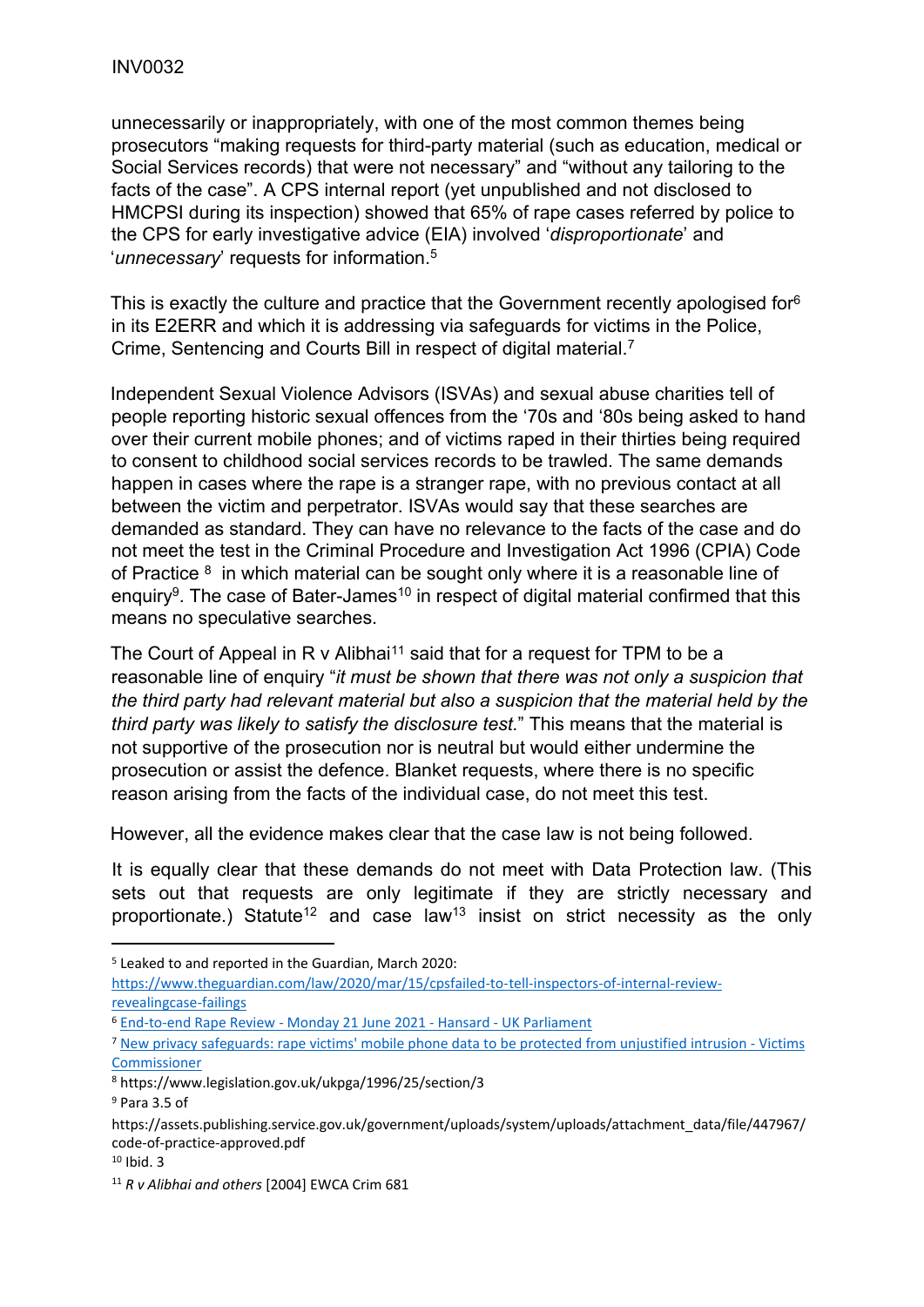unnecessarily or inappropriately, with one of the most common themes being prosecutors "making requests for third-party material (such as education, medical or Social Services records) that were not necessary" and "without any tailoring to the facts of the case". A CPS internal report (yet unpublished and not disclosed to HMCPSI during its inspection) showed that 65% of rape cases referred by police to the CPS for early investigative advice (EIA) involved '*disproportionate*' and '*unnecessary*' requests for information.<sup>5</sup>

This is exactly the culture and practice that the Government recently apologised for<sup>6</sup> in its E2ERR and which it is addressing via safeguards for victims in the Police, Crime, Sentencing and Courts Bill in respect of digital material.<sup>7</sup>

Independent Sexual Violence Advisors (ISVAs) and sexual abuse charities tell of people reporting historic sexual offences from the '70s and '80s being asked to hand over their current mobile phones; and of victims raped in their thirties being required to consent to childhood social services records to be trawled. The same demands happen in cases where the rape is a stranger rape, with no previous contact at all between the victim and perpetrator. ISVAs would say that these searches are demanded as standard. They can have no relevance to the facts of the case and do not meet the test in the Criminal Procedure and Investigation Act 1996 (CPIA) Code of Practice  $8$  in which material can be sought only where it is a reasonable line of enquiry<sup>9</sup>. The case of Bater-James<sup>10</sup> in respect of digital material confirmed that this means no speculative searches.

The Court of Appeal in R v Alibhai<sup>11</sup> said that for a request for TPM to be a reasonable line of enquiry "*it must be shown that there was not only a suspicion that the third party had relevant material but also a suspicion that the material held by the third party was likely to satisfy the disclosure test.*" This means that the material is not supportive of the prosecution nor is neutral but would either undermine the prosecution or assist the defence. Blanket requests, where there is no specific reason arising from the facts of the individual case, do not meet this test.

However, all the evidence makes clear that the case law is not being followed.

It is equally clear that these demands do not meet with Data Protection law. (This sets out that requests are only legitimate if they are strictly necessary and proportionate.) Statute<sup>12</sup> and case law<sup>13</sup> insist on strict necessity as the only

<sup>5</sup> Leaked to and reported in the Guardian, March 2020:

[https://www.theguardian.com/law/2020/mar/15/cpsfailed-to-tell-inspectors-of-internal-review](https://www.theguardian.com/law/2020/mar/15/cpsfailed-to-tell-inspectors-of-internal-review-revealing-case-failings)[revealingcase-failings](https://www.theguardian.com/law/2020/mar/15/cpsfailed-to-tell-inspectors-of-internal-review-revealing-case-failings)

<sup>6</sup> [End-to-end](https://hansard.parliament.uk/commons/2021-06-21/debates/A284C9E5-F4BF-4CA4-B62F-3486C0629E1F/End-To-EndRapeReview#contribution-663BCD16-8465-4CD4-AE36-99F498CF5D54) [Rape](https://hansard.parliament.uk/commons/2021-06-21/debates/A284C9E5-F4BF-4CA4-B62F-3486C0629E1F/End-To-EndRapeReview#contribution-663BCD16-8465-4CD4-AE36-99F498CF5D54) [Review](https://hansard.parliament.uk/commons/2021-06-21/debates/A284C9E5-F4BF-4CA4-B62F-3486C0629E1F/End-To-EndRapeReview#contribution-663BCD16-8465-4CD4-AE36-99F498CF5D54) [-](https://hansard.parliament.uk/commons/2021-06-21/debates/A284C9E5-F4BF-4CA4-B62F-3486C0629E1F/End-To-EndRapeReview#contribution-663BCD16-8465-4CD4-AE36-99F498CF5D54) [Monday](https://hansard.parliament.uk/commons/2021-06-21/debates/A284C9E5-F4BF-4CA4-B62F-3486C0629E1F/End-To-EndRapeReview#contribution-663BCD16-8465-4CD4-AE36-99F498CF5D54) [21](https://hansard.parliament.uk/commons/2021-06-21/debates/A284C9E5-F4BF-4CA4-B62F-3486C0629E1F/End-To-EndRapeReview#contribution-663BCD16-8465-4CD4-AE36-99F498CF5D54) [June](https://hansard.parliament.uk/commons/2021-06-21/debates/A284C9E5-F4BF-4CA4-B62F-3486C0629E1F/End-To-EndRapeReview#contribution-663BCD16-8465-4CD4-AE36-99F498CF5D54) [2021](https://hansard.parliament.uk/commons/2021-06-21/debates/A284C9E5-F4BF-4CA4-B62F-3486C0629E1F/End-To-EndRapeReview#contribution-663BCD16-8465-4CD4-AE36-99F498CF5D54) [-](https://hansard.parliament.uk/commons/2021-06-21/debates/A284C9E5-F4BF-4CA4-B62F-3486C0629E1F/End-To-EndRapeReview#contribution-663BCD16-8465-4CD4-AE36-99F498CF5D54) [Hansard](https://hansard.parliament.uk/commons/2021-06-21/debates/A284C9E5-F4BF-4CA4-B62F-3486C0629E1F/End-To-EndRapeReview#contribution-663BCD16-8465-4CD4-AE36-99F498CF5D54) [-](https://hansard.parliament.uk/commons/2021-06-21/debates/A284C9E5-F4BF-4CA4-B62F-3486C0629E1F/End-To-EndRapeReview#contribution-663BCD16-8465-4CD4-AE36-99F498CF5D54) [UK](https://hansard.parliament.uk/commons/2021-06-21/debates/A284C9E5-F4BF-4CA4-B62F-3486C0629E1F/End-To-EndRapeReview#contribution-663BCD16-8465-4CD4-AE36-99F498CF5D54) [Parliament](https://hansard.parliament.uk/commons/2021-06-21/debates/A284C9E5-F4BF-4CA4-B62F-3486C0629E1F/End-To-EndRapeReview#contribution-663BCD16-8465-4CD4-AE36-99F498CF5D54)

<sup>7</sup> [New](https://victimscommissioner.org.uk/news/pcsc-amendments/) [privacy](https://victimscommissioner.org.uk/news/pcsc-amendments/) [safeguards:](https://victimscommissioner.org.uk/news/pcsc-amendments/) [rape](https://victimscommissioner.org.uk/news/pcsc-amendments/) [victims'](https://victimscommissioner.org.uk/news/pcsc-amendments/) [mobile](https://victimscommissioner.org.uk/news/pcsc-amendments/) [phone](https://victimscommissioner.org.uk/news/pcsc-amendments/) [data](https://victimscommissioner.org.uk/news/pcsc-amendments/) [to](https://victimscommissioner.org.uk/news/pcsc-amendments/) [be](https://victimscommissioner.org.uk/news/pcsc-amendments/) [protected](https://victimscommissioner.org.uk/news/pcsc-amendments/) [from](https://victimscommissioner.org.uk/news/pcsc-amendments/) [unjustified](https://victimscommissioner.org.uk/news/pcsc-amendments/) [intrusion](https://victimscommissioner.org.uk/news/pcsc-amendments/) [-](https://victimscommissioner.org.uk/news/pcsc-amendments/) [Victims](https://victimscommissioner.org.uk/news/pcsc-amendments/) [Commissioner](https://victimscommissioner.org.uk/news/pcsc-amendments/)

<sup>8</sup> https://www.legislation.gov.uk/ukpga/1996/25/section/3

<sup>9</sup> Para 3.5 of

https://assets.publishing.service.gov.uk/government/uploads/system/uploads/attachment\_data/file/447967/ code-of-practice-approved.pdf

 $10$  Ibid. 3

<sup>11</sup> *R v Alibhai and others* [2004] EWCA Crim 681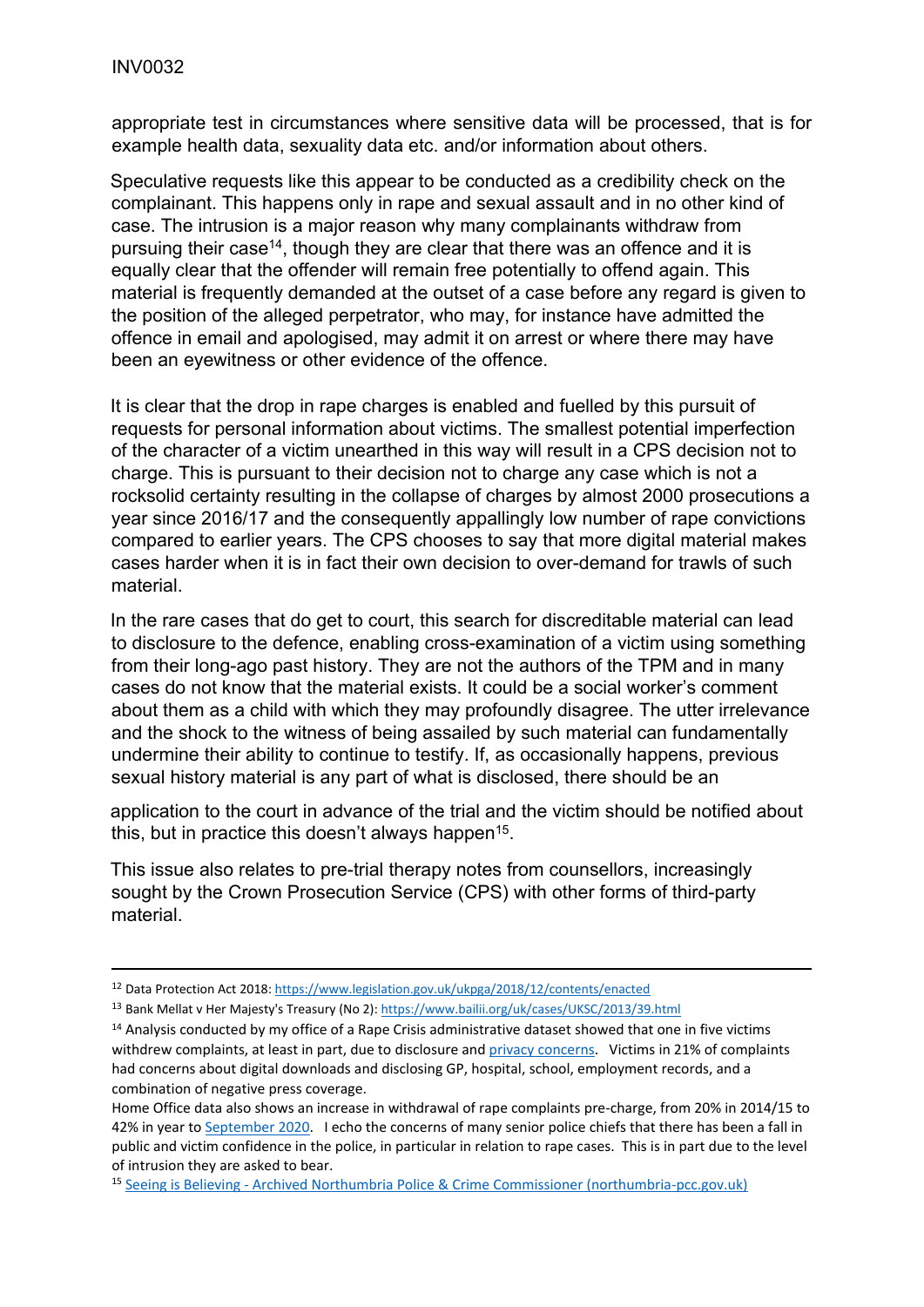appropriate test in circumstances where sensitive data will be processed, that is for example health data, sexuality data etc. and/or information about others.

Speculative requests like this appear to be conducted as a credibility check on the complainant. This happens only in rape and sexual assault and in no other kind of case. The intrusion is a major reason why many complainants withdraw from pursuing their case<sup>14</sup>, though they are clear that there was an offence and it is equally clear that the offender will remain free potentially to offend again. This material is frequently demanded at the outset of a case before any regard is given to the position of the alleged perpetrator, who may, for instance have admitted the offence in email and apologised, may admit it on arrest or where there may have been an eyewitness or other evidence of the offence.

It is clear that the drop in rape charges is enabled and fuelled by this pursuit of requests for personal information about victims. The smallest potential imperfection of the character of a victim unearthed in this way will result in a CPS decision not to charge. This is pursuant to their decision not to charge any case which is not a rocksolid certainty resulting in the collapse of charges by almost 2000 prosecutions a year since 2016/17 and the consequently appallingly low number of rape convictions compared to earlier years. The CPS chooses to say that more digital material makes cases harder when it is in fact their own decision to over-demand for trawls of such material.

In the rare cases that do get to court, this search for discreditable material can lead to disclosure to the defence, enabling cross-examination of a victim using something from their long-ago past history. They are not the authors of the TPM and in many cases do not know that the material exists. It could be a social worker's comment about them as a child with which they may profoundly disagree. The utter irrelevance and the shock to the witness of being assailed by such material can fundamentally undermine their ability to continue to testify. If, as occasionally happens, previous sexual history material is any part of what is disclosed, there should be an

application to the court in advance of the trial and the victim should be notified about this, but in practice this doesn't always happen<sup>15</sup>.

This issue also relates to pre-trial therapy notes from counsellors, increasingly sought by the Crown Prosecution Service (CPS) with other forms of third-party material.

<sup>12</sup> Data Protection Act 2018[:](https://www.legislation.gov.uk/ukpga/2018/12/contents/enacted) <https://www.legislation.gov.uk/ukpga/2018/12/contents/enacted>

<sup>13</sup> Bank Mellat v Her Majesty's Treasury (No 2[\):](https://www.bailii.org/uk/cases/UKSC/2013/39.html) <https://www.bailii.org/uk/cases/UKSC/2013/39.html>

<sup>&</sup>lt;sup>14</sup> Analysis conducted by my office of a Rape Crisis administrative dataset showed that one in five victims withdrew complaints, at least in part, due to disclosure and [privacy](https://victimscommissioner.org.uk/news/the-reasons-why-victims-of-rape-and-sexual-violence-withdraw-from-the-criminal-process-without-seeking-justice/) [concerns.](https://victimscommissioner.org.uk/news/the-reasons-why-victims-of-rape-and-sexual-violence-withdraw-from-the-criminal-process-without-seeking-justice/) Victims in 21% of complaints had concerns about digital downloads and disclosing GP, hospital, school, employment records, and a combination of negative press coverage.

Home Office data also shows an increase in withdrawal of rape complaints pre-charge, from 20% in 2014/15 to 42% in year to [September](https://www.gov.uk/government/statistics/crime-outcomes-in-england-and-wales-year-to-september-2020-data-tables) [2020.](https://www.gov.uk/government/statistics/crime-outcomes-in-england-and-wales-year-to-september-2020-data-tables) I echo the concerns of many senior police chiefs that there has been a fall in public and victim confidence in the police, in particular in relation to rape cases. This is in part due to the level of intrusion they are asked to bear.

<sup>15</sup> [Seeing](https://archive.northumbria-pcc.gov.uk/volunteers/court-observers/seeing-is-believing-2/) [is](https://archive.northumbria-pcc.gov.uk/volunteers/court-observers/seeing-is-believing-2/) [Believing](https://archive.northumbria-pcc.gov.uk/volunteers/court-observers/seeing-is-believing-2/) [-](https://archive.northumbria-pcc.gov.uk/volunteers/court-observers/seeing-is-believing-2/) [Archived](https://archive.northumbria-pcc.gov.uk/volunteers/court-observers/seeing-is-believing-2/) [Northumbria](https://archive.northumbria-pcc.gov.uk/volunteers/court-observers/seeing-is-believing-2/) [Police](https://archive.northumbria-pcc.gov.uk/volunteers/court-observers/seeing-is-believing-2/) [&](https://archive.northumbria-pcc.gov.uk/volunteers/court-observers/seeing-is-believing-2/) [Crime](https://archive.northumbria-pcc.gov.uk/volunteers/court-observers/seeing-is-believing-2/) [Commissioner](https://archive.northumbria-pcc.gov.uk/volunteers/court-observers/seeing-is-believing-2/) [\(northumbria-pcc.gov.uk\)](https://archive.northumbria-pcc.gov.uk/volunteers/court-observers/seeing-is-believing-2/)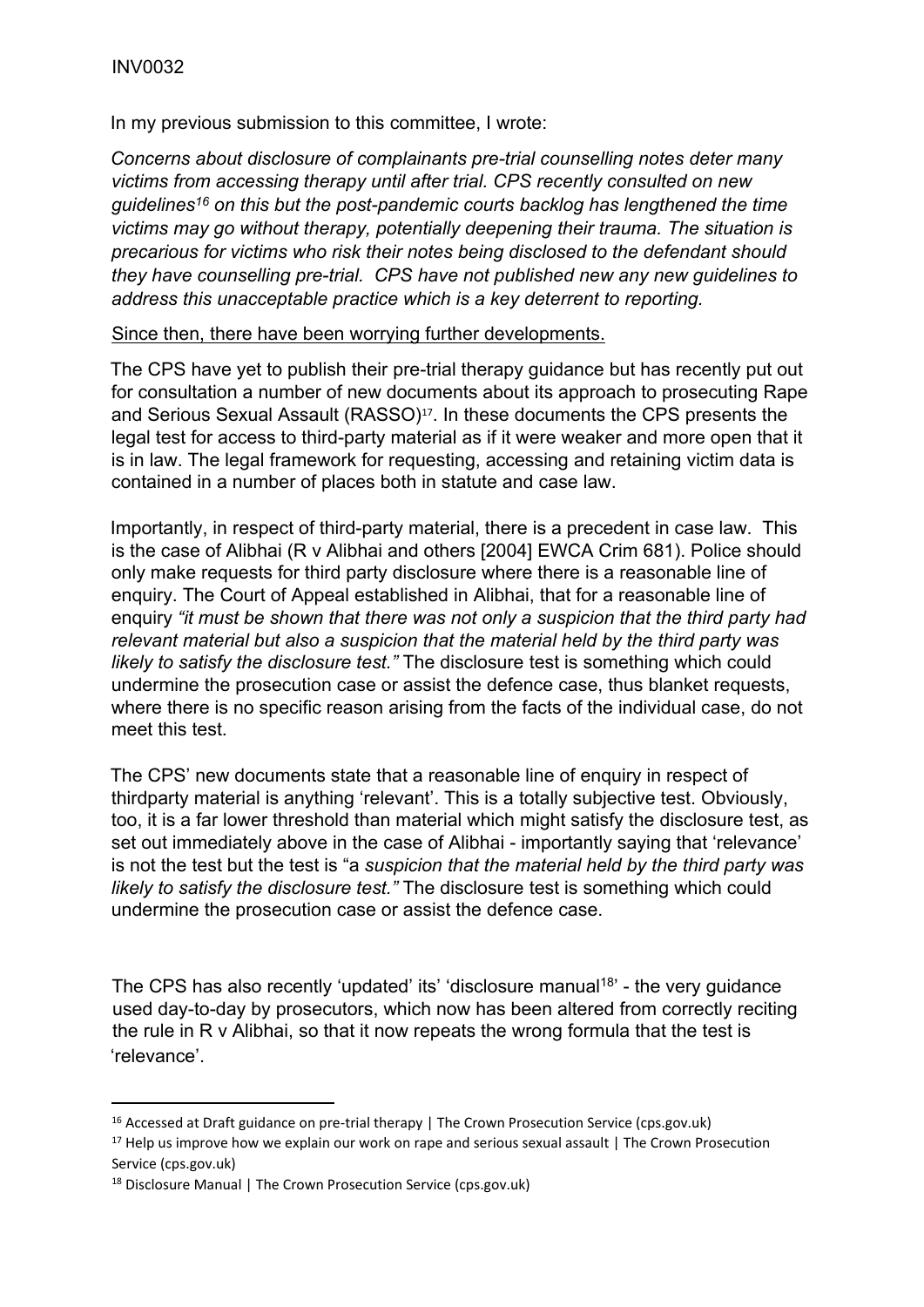In my previous submission to this committee, I wrote:

*Concerns about disclosure of complainants pre-trial counselling notes deter many victims from accessing therapy until after trial. CPS recently consulted on new guidelines<sup>16</sup> on this but the post-pandemic courts backlog has lengthened the time victims may go without therapy, potentially deepening their trauma. The situation is precarious for victims who risk their notes being disclosed to the defendant should they have counselling pre-trial. CPS have not published new any new guidelines to address this unacceptable practice which is a key deterrent to reporting.*

Since then, there have been worrying further developments.

The CPS have yet to publish their pre-trial therapy guidance but has recently put out for consultation a number of new documents about its approach to prosecuting Rape and Serious Sexual Assault (RASSO)<sup>17</sup>. In these documents the CPS presents the legal test for access to third-party material as if it were weaker and more open that it is in law. The legal framework for requesting, accessing and retaining victim data is contained in a number of places both in statute and case law.

Importantly, in respect of third-party material, there is a precedent in case law. This is the case of Alibhai (R v Alibhai and others [2004] EWCA Crim 681). Police should only make requests for third party disclosure where there is a reasonable line of enquiry. The Court of Appeal established in Alibhai, that for a reasonable line of enquiry *"it must be shown that there was not only a suspicion that the third party had relevant material but also a suspicion that the material held by the third party was likely to satisfy the disclosure test."* The disclosure test is something which could undermine the prosecution case or assist the defence case, thus blanket requests, where there is no specific reason arising from the facts of the individual case, do not meet this test.

The CPS' new documents state that a reasonable line of enquiry in respect of thirdparty material is anything 'relevant'. This is a totally subjective test. Obviously, too, it is a far lower threshold than material which might satisfy the disclosure test, as set out immediately above in the case of Alibhai - importantly saying that 'relevance' is not the test but the test is "a *suspicion that the material held by the third party was likely to satisfy the disclosure test."* The disclosure test is something which could undermine the prosecution case or assist the defence case.

The CPS has also recently 'updated' its' 'disclosure manual<sup>18</sup>' - the very guidance used day-to-day by prosecutors, which now has been altered from correctly reciting the rule in R v Alibhai, so that it now repeats the wrong formula that the test is 'relevance'.

<sup>&</sup>lt;sup>16</sup> Accessed at [Draft](https://www.cps.gov.uk/publication/draft-guidance-pre-trial-therapy) [guidance](https://www.cps.gov.uk/publication/draft-guidance-pre-trial-therapy) [on](https://www.cps.gov.uk/publication/draft-guidance-pre-trial-therapy) [pre-trial](https://www.cps.gov.uk/publication/draft-guidance-pre-trial-therapy) [therapy](https://www.cps.gov.uk/publication/draft-guidance-pre-trial-therapy) [|](https://www.cps.gov.uk/publication/draft-guidance-pre-trial-therapy) [The](https://www.cps.gov.uk/publication/draft-guidance-pre-trial-therapy) [Crown](https://www.cps.gov.uk/publication/draft-guidance-pre-trial-therapy) [Prosecution](https://www.cps.gov.uk/publication/draft-guidance-pre-trial-therapy) [Service](https://www.cps.gov.uk/publication/draft-guidance-pre-trial-therapy) [\(cps.gov.uk\)](https://www.cps.gov.uk/publication/draft-guidance-pre-trial-therapy)

 $17$  [Help](https://www.cps.gov.uk/rasso-feedback) [us](https://www.cps.gov.uk/rasso-feedback) [improve](https://www.cps.gov.uk/rasso-feedback) [how](https://www.cps.gov.uk/rasso-feedback) [we](https://www.cps.gov.uk/rasso-feedback) [explain](https://www.cps.gov.uk/rasso-feedback) [our](https://www.cps.gov.uk/rasso-feedback) [work](https://www.cps.gov.uk/rasso-feedback) [on](https://www.cps.gov.uk/rasso-feedback) [rape](https://www.cps.gov.uk/rasso-feedback) [and](https://www.cps.gov.uk/rasso-feedback) [serious](https://www.cps.gov.uk/rasso-feedback) [sexual](https://www.cps.gov.uk/rasso-feedback) [assault](https://www.cps.gov.uk/rasso-feedback) [|](https://www.cps.gov.uk/rasso-feedback) [The](https://www.cps.gov.uk/rasso-feedback) [Crown](https://www.cps.gov.uk/rasso-feedback) [Prosecution](https://www.cps.gov.uk/rasso-feedback) [Service](https://www.cps.gov.uk/rasso-feedback) [\(cps.gov.uk\)](https://www.cps.gov.uk/rasso-feedback)

<sup>18</sup> [Disclosure](https://www.cps.gov.uk/legal-guidance/disclosure-manual) [Manual](https://www.cps.gov.uk/legal-guidance/disclosure-manual) [|](https://www.cps.gov.uk/legal-guidance/disclosure-manual) [The](https://www.cps.gov.uk/legal-guidance/disclosure-manual) [Crown](https://www.cps.gov.uk/legal-guidance/disclosure-manual) [Prosecution](https://www.cps.gov.uk/legal-guidance/disclosure-manual) [Service](https://www.cps.gov.uk/legal-guidance/disclosure-manual) [\(cps.gov.uk\)](https://www.cps.gov.uk/legal-guidance/disclosure-manual)